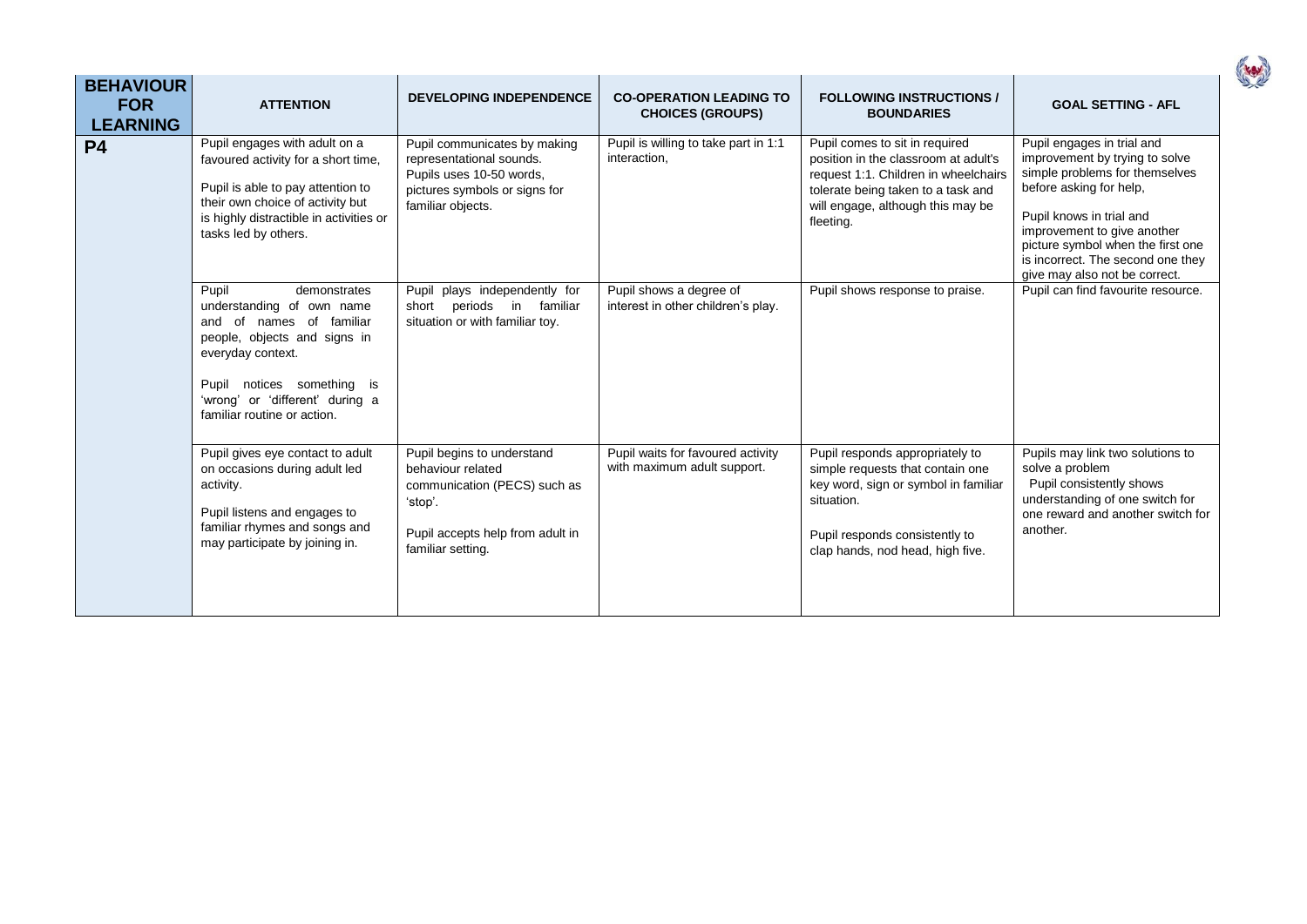| <b>BEHAVIOUR</b><br><b>FOR</b><br><b>LEARNING</b> | <b>ATTENTION</b>                                                                                                                                                                                                                    | <b>DEVELOPING INDEPENDENCE</b>                                                                                                                      | <b>CO-OPERATION LEADING TO</b><br><b>CHOICES (GROUPS)</b>        | <b>FOLLOWING INSTRUCTIONS /</b><br><b>BOUNDARIES</b>                                                                                                                                                   | <b>GOAL SETTING - AFL</b>                                                                                                                                                                                                                                                                       |
|---------------------------------------------------|-------------------------------------------------------------------------------------------------------------------------------------------------------------------------------------------------------------------------------------|-----------------------------------------------------------------------------------------------------------------------------------------------------|------------------------------------------------------------------|--------------------------------------------------------------------------------------------------------------------------------------------------------------------------------------------------------|-------------------------------------------------------------------------------------------------------------------------------------------------------------------------------------------------------------------------------------------------------------------------------------------------|
| <b>P4</b>                                         | Pupil engages with adult on a<br>favoured activity for a short time,<br>Pupil is able to pay attention to<br>their own choice of activity but<br>is highly distractible in activities or<br>tasks led by others.                    | Pupil communicates by making<br>representational sounds.<br>Pupils uses 10-50 words,<br>pictures symbols or signs for<br>familiar objects.          | Pupil is willing to take part in 1:1<br>interaction,             | Pupil comes to sit in required<br>position in the classroom at adult's<br>request 1:1. Children in wheelchairs<br>tolerate being taken to a task and<br>will engage, although this may be<br>fleeting. | Pupil engages in trial and<br>improvement by trying to solve<br>simple problems for themselves<br>before asking for help,<br>Pupil knows in trial and<br>improvement to give another<br>picture symbol when the first one<br>is incorrect. The second one they<br>give may also not be correct. |
|                                                   | Pupil<br>demonstrates<br>understanding of own name<br>and of names of familiar<br>people, objects and signs in<br>everyday context.<br>Pupil notices something is<br>'wrong' or 'different' during a<br>familiar routine or action. | Pupil plays independently for<br>periods in familiar<br>short<br>situation or with familiar toy.                                                    | Pupil shows a degree of<br>interest in other children's play.    | Pupil shows response to praise.                                                                                                                                                                        | Pupil can find favourite resource.                                                                                                                                                                                                                                                              |
|                                                   | Pupil gives eye contact to adult<br>on occasions during adult led<br>activity.<br>Pupil listens and engages to<br>familiar rhymes and songs and<br>may participate by joining in.                                                   | Pupil begins to understand<br>behaviour related<br>communication (PECS) such as<br>'stop'.<br>Pupil accepts help from adult in<br>familiar setting. | Pupil waits for favoured activity<br>with maximum adult support. | Pupil responds appropriately to<br>simple requests that contain one<br>key word, sign or symbol in familiar<br>situation.<br>Pupil responds consistently to<br>clap hands, nod head, high five.        | Pupils may link two solutions to<br>solve a problem<br>Pupil consistently shows<br>understanding of one switch for<br>one reward and another switch for<br>another.                                                                                                                             |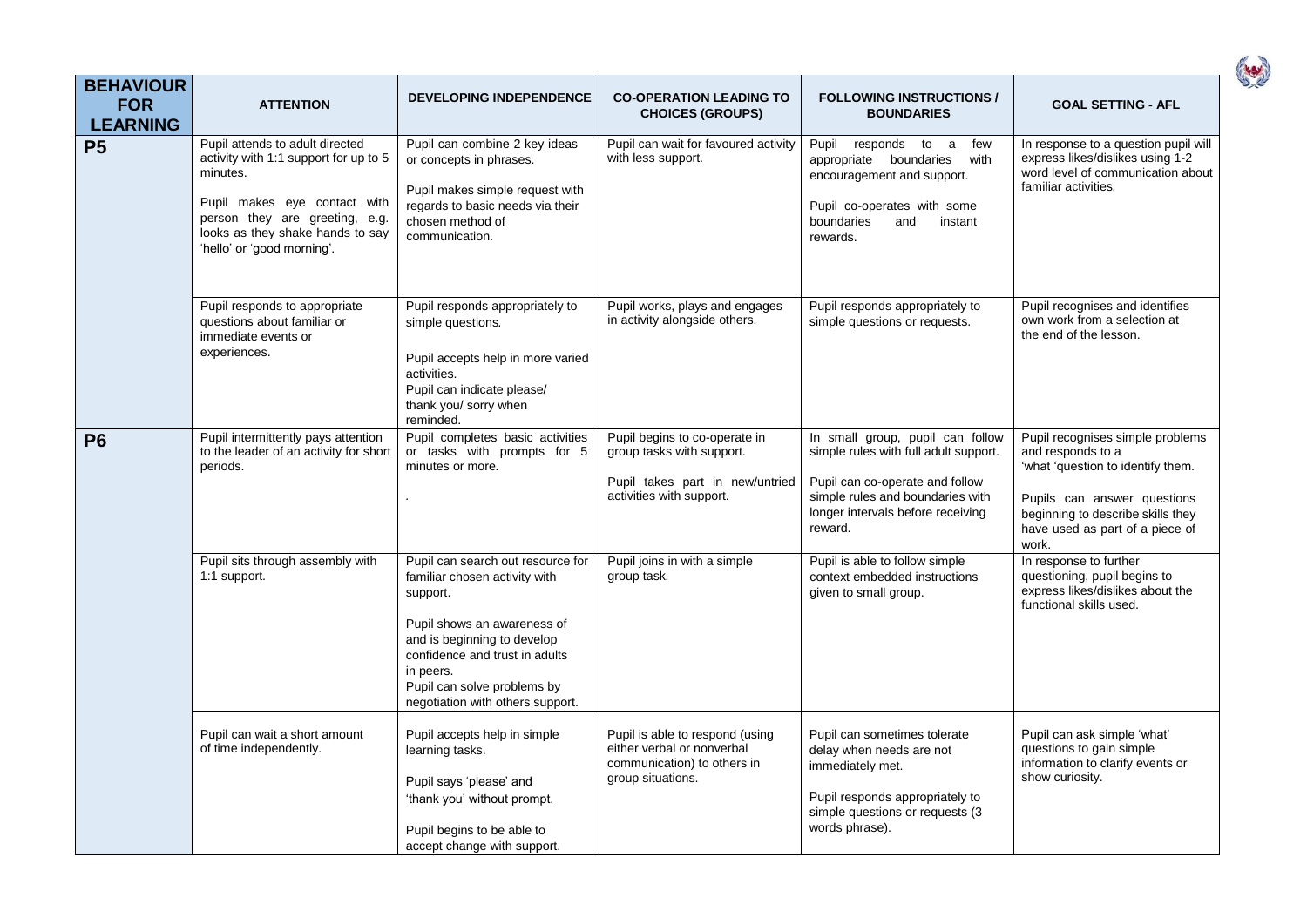| <b>BEHAVIOUR</b><br><b>FOR</b><br><b>LEARNING</b> | <b>ATTENTION</b>                                                                                                                                                                                                         | <b>DEVELOPING INDEPENDENCE</b>                                                                                                                                                                                                                                 | <b>CO-OPERATION LEADING TO</b><br><b>CHOICES (GROUPS)</b>                                                                 | <b>FOLLOWING INSTRUCTIONS /</b><br><b>BOUNDARIES</b>                                                                                                                                             | <b>GOAL SETTING - AFL</b>                                                                                                                                                                                  |
|---------------------------------------------------|--------------------------------------------------------------------------------------------------------------------------------------------------------------------------------------------------------------------------|----------------------------------------------------------------------------------------------------------------------------------------------------------------------------------------------------------------------------------------------------------------|---------------------------------------------------------------------------------------------------------------------------|--------------------------------------------------------------------------------------------------------------------------------------------------------------------------------------------------|------------------------------------------------------------------------------------------------------------------------------------------------------------------------------------------------------------|
| <b>P5</b>                                         | Pupil attends to adult directed<br>activity with 1:1 support for up to 5<br>minutes.<br>Pupil makes eye contact with<br>person they are greeting, e.g.<br>looks as they shake hands to say<br>'hello' or 'good morning'. | Pupil can combine 2 key ideas<br>or concepts in phrases.<br>Pupil makes simple request with<br>regards to basic needs via their<br>chosen method of<br>communication.                                                                                          | Pupil can wait for favoured activity<br>with less support.                                                                | Pupil<br>responds to a<br>few<br>appropriate boundaries<br>with<br>encouragement and support.<br>Pupil co-operates with some<br>boundaries<br>and<br>instant<br>rewards.                         | In response to a question pupil will<br>express likes/dislikes using 1-2<br>word level of communication about<br>familiar activities.                                                                      |
|                                                   | Pupil responds to appropriate<br>questions about familiar or<br>immediate events or<br>experiences.                                                                                                                      | Pupil responds appropriately to<br>simple questions.<br>Pupil accepts help in more varied<br>activities.<br>Pupil can indicate please/<br>thank you/ sorry when<br>reminded.                                                                                   | Pupil works, plays and engages<br>in activity alongside others.                                                           | Pupil responds appropriately to<br>simple questions or requests.                                                                                                                                 | Pupil recognises and identifies<br>own work from a selection at<br>the end of the lesson.                                                                                                                  |
| <b>P6</b>                                         | Pupil intermittently pays attention<br>to the leader of an activity for short<br>periods.                                                                                                                                | Pupil completes basic activities<br>or tasks with prompts for 5<br>minutes or more.                                                                                                                                                                            | Pupil begins to co-operate in<br>group tasks with support.<br>Pupil takes part in new/untried<br>activities with support. | In small group, pupil can follow<br>simple rules with full adult support.<br>Pupil can co-operate and follow<br>simple rules and boundaries with<br>longer intervals before receiving<br>reward. | Pupil recognises simple problems<br>and responds to a<br>'what 'question to identify them.<br>Pupils can answer questions<br>beginning to describe skills they<br>have used as part of a piece of<br>work. |
|                                                   | Pupil sits through assembly with<br>1:1 support.                                                                                                                                                                         | Pupil can search out resource for<br>familiar chosen activity with<br>support.<br>Pupil shows an awareness of<br>and is beginning to develop<br>confidence and trust in adults<br>in peers.<br>Pupil can solve problems by<br>negotiation with others support. | Pupil joins in with a simple<br>group task.                                                                               | Pupil is able to follow simple<br>context embedded instructions<br>given to small group.                                                                                                         | In response to further<br>questioning, pupil begins to<br>express likes/dislikes about the<br>functional skills used.                                                                                      |
|                                                   | Pupil can wait a short amount<br>of time independently.                                                                                                                                                                  | Pupil accepts help in simple<br>learning tasks.<br>Pupil says 'please' and<br>'thank you' without prompt.<br>Pupil begins to be able to<br>accept change with support.                                                                                         | Pupil is able to respond (using<br>either verbal or nonverbal<br>communication) to others in<br>group situations.         | Pupil can sometimes tolerate<br>delay when needs are not<br>immediately met.<br>Pupil responds appropriately to<br>simple questions or requests (3<br>words phrase).                             | Pupil can ask simple 'what'<br>questions to gain simple<br>information to clarify events or<br>show curiosity.                                                                                             |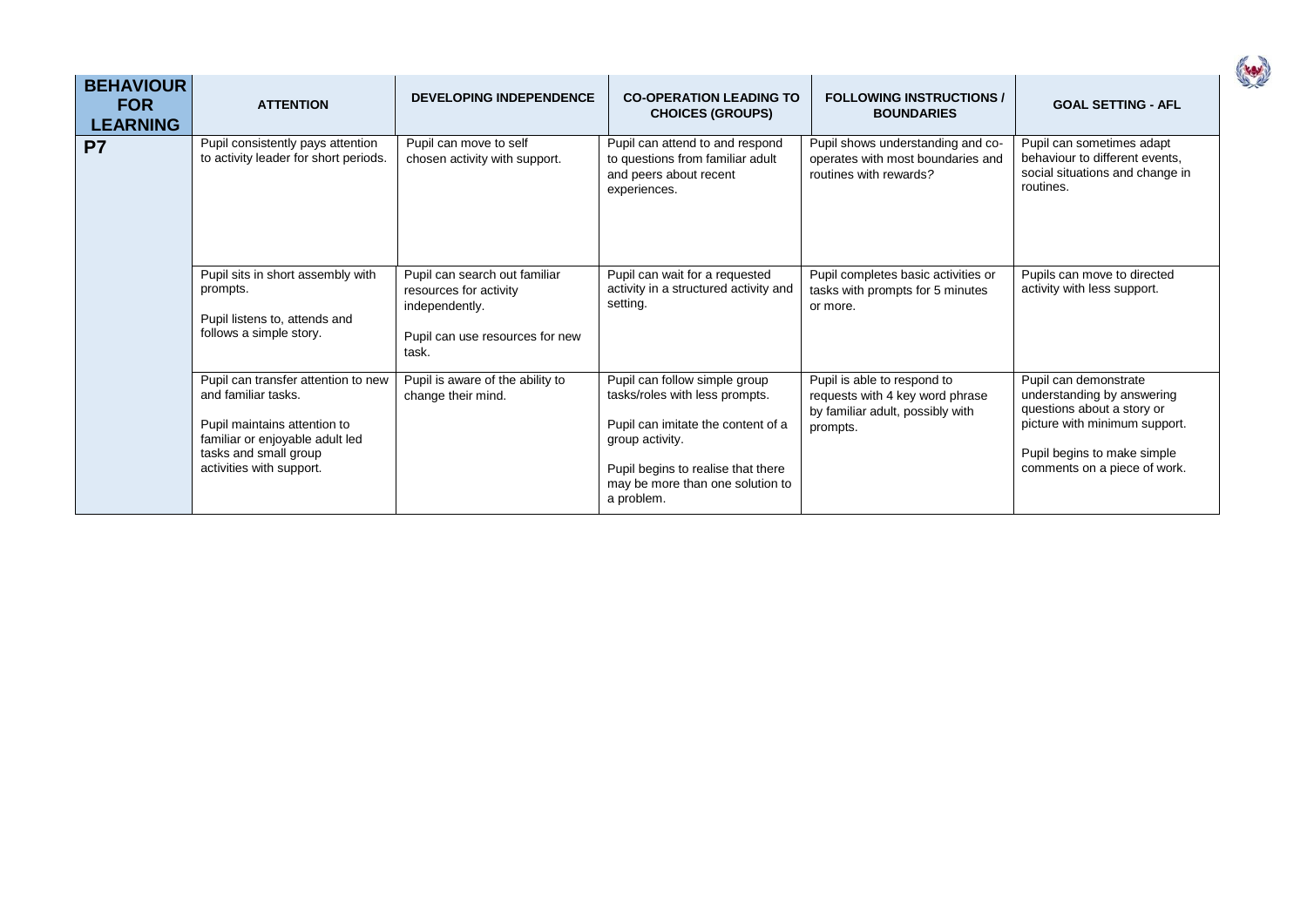| <b>BEHAVIOUR</b><br><b>FOR</b><br><b>LEARNING</b> | <b>ATTENTION</b>                                                                                                                                                                   | <b>DEVELOPING INDEPENDENCE</b>                                                                                        | <b>CO-OPERATION LEADING TO</b><br><b>CHOICES (GROUPS)</b>                                                                                                                                                        | <b>FOLLOWING INSTRUCTIONS /</b><br><b>BOUNDARIES</b>                                                           | <b>GOAL SETTING - AFL</b>                                                                                                                                                         |
|---------------------------------------------------|------------------------------------------------------------------------------------------------------------------------------------------------------------------------------------|-----------------------------------------------------------------------------------------------------------------------|------------------------------------------------------------------------------------------------------------------------------------------------------------------------------------------------------------------|----------------------------------------------------------------------------------------------------------------|-----------------------------------------------------------------------------------------------------------------------------------------------------------------------------------|
| P <sub>7</sub>                                    | Pupil consistently pays attention<br>to activity leader for short periods.                                                                                                         | Pupil can move to self<br>chosen activity with support.                                                               | Pupil can attend to and respond<br>to questions from familiar adult<br>and peers about recent<br>experiences.                                                                                                    | Pupil shows understanding and co-<br>operates with most boundaries and<br>routines with rewards?               | Pupil can sometimes adapt<br>behaviour to different events,<br>social situations and change in<br>routines.                                                                       |
|                                                   | Pupil sits in short assembly with<br>prompts.<br>Pupil listens to, attends and<br>follows a simple story.                                                                          | Pupil can search out familiar<br>resources for activity<br>independently.<br>Pupil can use resources for new<br>task. | Pupil can wait for a requested<br>activity in a structured activity and<br>setting.                                                                                                                              | Pupil completes basic activities or<br>tasks with prompts for 5 minutes<br>or more.                            | Pupils can move to directed<br>activity with less support.                                                                                                                        |
|                                                   | Pupil can transfer attention to new<br>and familiar tasks.<br>Pupil maintains attention to<br>familiar or enjoyable adult led<br>tasks and small group<br>activities with support. | Pupil is aware of the ability to<br>change their mind.                                                                | Pupil can follow simple group<br>tasks/roles with less prompts.<br>Pupil can imitate the content of a<br>group activity.<br>Pupil begins to realise that there<br>may be more than one solution to<br>a problem. | Pupil is able to respond to<br>requests with 4 key word phrase<br>by familiar adult, possibly with<br>prompts. | Pupil can demonstrate<br>understanding by answering<br>questions about a story or<br>picture with minimum support.<br>Pupil begins to make simple<br>comments on a piece of work. |

( 10)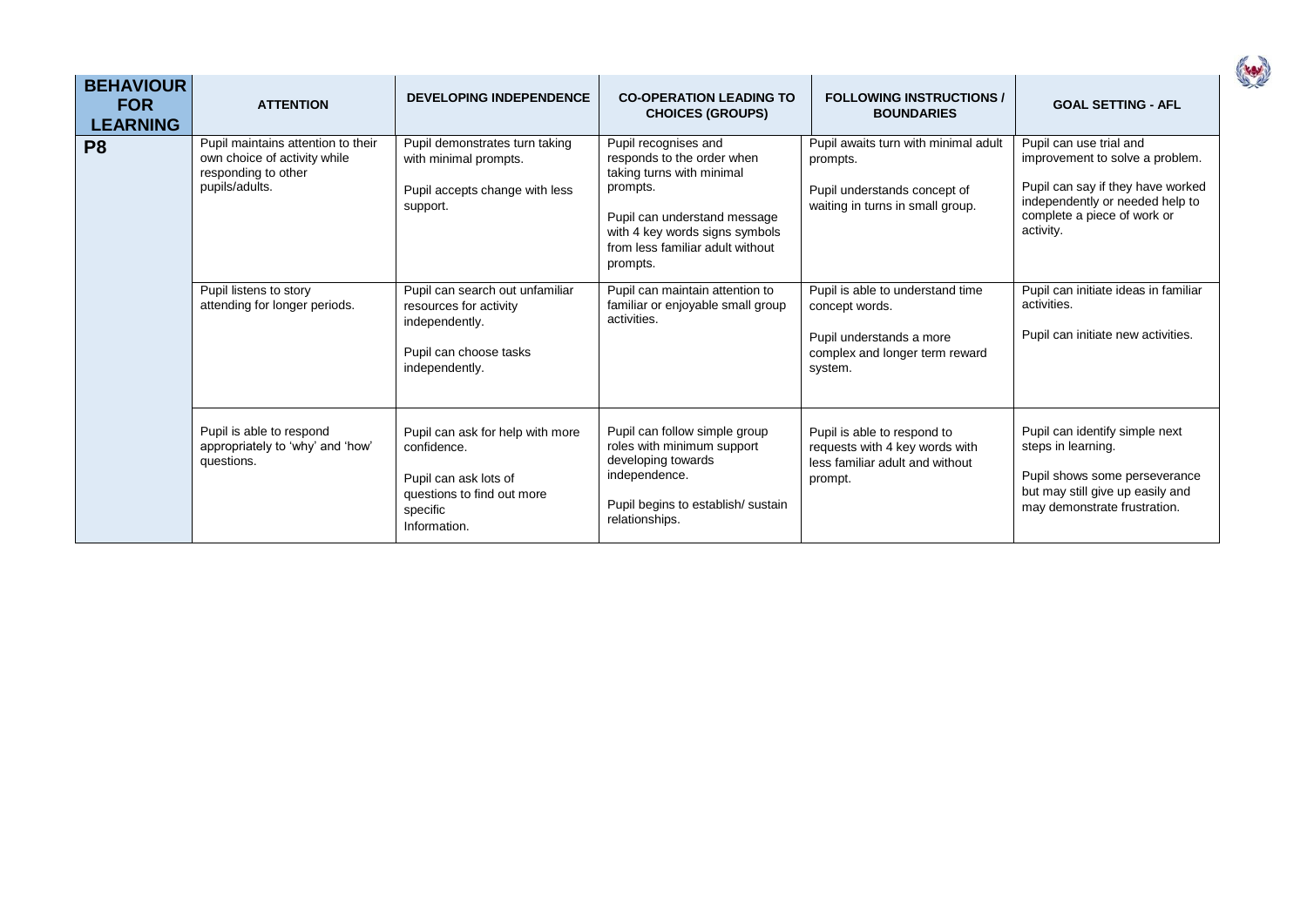| <b>BEHAVIOUR</b><br><b>FOR</b><br><b>LEARNING</b> | <b>ATTENTION</b>                                                                                            | <b>DEVELOPING INDEPENDENCE</b>                                                                                                     | <b>CO-OPERATION LEADING TO</b><br><b>CHOICES (GROUPS)</b>                                                                                                                                                     | <b>FOLLOWING INSTRUCTIONS /</b><br><b>BOUNDARIES</b>                                                                        | <b>GOAL SETTING - AFL</b>                                                                                                                                                      |
|---------------------------------------------------|-------------------------------------------------------------------------------------------------------------|------------------------------------------------------------------------------------------------------------------------------------|---------------------------------------------------------------------------------------------------------------------------------------------------------------------------------------------------------------|-----------------------------------------------------------------------------------------------------------------------------|--------------------------------------------------------------------------------------------------------------------------------------------------------------------------------|
| P <sub>8</sub>                                    | Pupil maintains attention to their<br>own choice of activity while<br>responding to other<br>pupils/adults. | Pupil demonstrates turn taking<br>with minimal prompts.<br>Pupil accepts change with less<br>support.                              | Pupil recognises and<br>responds to the order when<br>taking turns with minimal<br>prompts.<br>Pupil can understand message<br>with 4 key words signs symbols<br>from less familiar adult without<br>prompts. | Pupil awaits turn with minimal adult<br>prompts.<br>Pupil understands concept of<br>waiting in turns in small group.        | Pupil can use trial and<br>improvement to solve a problem.<br>Pupil can say if they have worked<br>independently or needed help to<br>complete a piece of work or<br>activity. |
|                                                   | Pupil listens to story<br>attending for longer periods.                                                     | Pupil can search out unfamiliar<br>resources for activity<br>independently.<br>Pupil can choose tasks<br>independently.            | Pupil can maintain attention to<br>familiar or enjoyable small group<br>activities.                                                                                                                           | Pupil is able to understand time<br>concept words.<br>Pupil understands a more<br>complex and longer term reward<br>system. | Pupil can initiate ideas in familiar<br>activities.<br>Pupil can initiate new activities.                                                                                      |
|                                                   | Pupil is able to respond<br>appropriately to 'why' and 'how'<br>questions.                                  | Pupil can ask for help with more<br>confidence.<br>Pupil can ask lots of<br>questions to find out more<br>specific<br>Information. | Pupil can follow simple group<br>roles with minimum support<br>developing towards<br>independence.<br>Pupil begins to establish/sustain<br>relationships.                                                     | Pupil is able to respond to<br>requests with 4 key words with<br>less familiar adult and without<br>prompt.                 | Pupil can identify simple next<br>steps in learning.<br>Pupil shows some perseverance<br>but may still give up easily and<br>may demonstrate frustration.                      |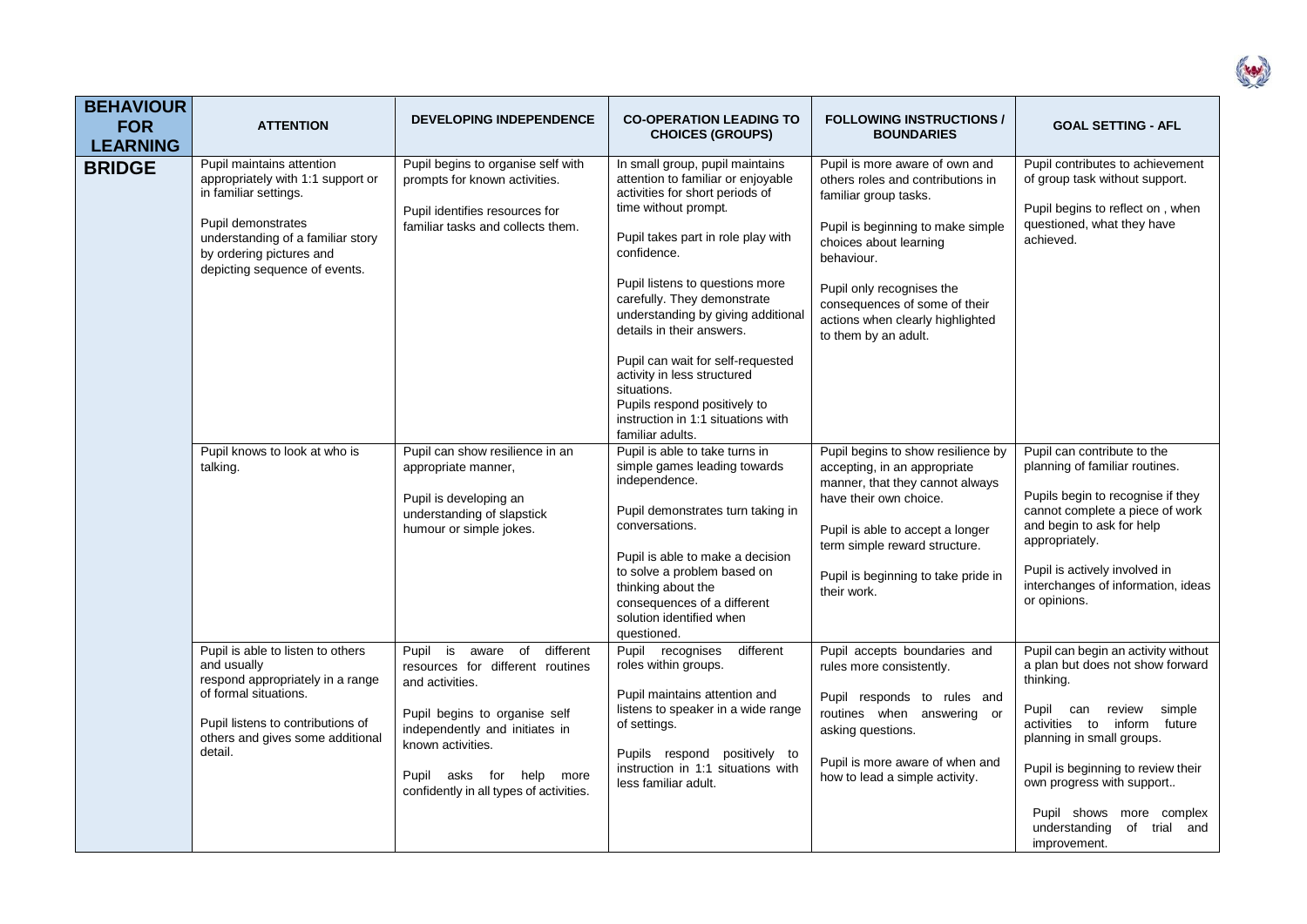| <b>BEHAVIOUR</b><br><b>FOR</b><br><b>LEARNING</b> | <b>ATTENTION</b>                                                                                                                                                                                                | <b>DEVELOPING INDEPENDENCE</b>                                                                                                                                                                                                                          | <b>CO-OPERATION LEADING TO</b><br><b>CHOICES (GROUPS)</b>                                                                                                                                                                                                                                                                                                                                                                                                                                               | <b>FOLLOWING INSTRUCTIONS /</b><br><b>BOUNDARIES</b>                                                                                                                                                                                                                                                | <b>GOAL SETTING - AFL</b>                                                                                                                                                                                                                                                                                                      |
|---------------------------------------------------|-----------------------------------------------------------------------------------------------------------------------------------------------------------------------------------------------------------------|---------------------------------------------------------------------------------------------------------------------------------------------------------------------------------------------------------------------------------------------------------|---------------------------------------------------------------------------------------------------------------------------------------------------------------------------------------------------------------------------------------------------------------------------------------------------------------------------------------------------------------------------------------------------------------------------------------------------------------------------------------------------------|-----------------------------------------------------------------------------------------------------------------------------------------------------------------------------------------------------------------------------------------------------------------------------------------------------|--------------------------------------------------------------------------------------------------------------------------------------------------------------------------------------------------------------------------------------------------------------------------------------------------------------------------------|
| <b>BRIDGE</b>                                     | Pupil maintains attention<br>appropriately with 1:1 support or<br>in familiar settings.<br>Pupil demonstrates<br>understanding of a familiar story<br>by ordering pictures and<br>depicting sequence of events. | Pupil begins to organise self with<br>prompts for known activities.<br>Pupil identifies resources for<br>familiar tasks and collects them.                                                                                                              | In small group, pupil maintains<br>attention to familiar or enjoyable<br>activities for short periods of<br>time without prompt.<br>Pupil takes part in role play with<br>confidence.<br>Pupil listens to questions more<br>carefully. They demonstrate<br>understanding by giving additional<br>details in their answers.<br>Pupil can wait for self-requested<br>activity in less structured<br>situations.<br>Pupils respond positively to<br>instruction in 1:1 situations with<br>familiar adults. | Pupil is more aware of own and<br>others roles and contributions in<br>familiar group tasks.<br>Pupil is beginning to make simple<br>choices about learning<br>behaviour.<br>Pupil only recognises the<br>consequences of some of their<br>actions when clearly highlighted<br>to them by an adult. | Pupil contributes to achievement<br>of group task without support.<br>Pupil begins to reflect on, when<br>questioned, what they have<br>achieved.                                                                                                                                                                              |
|                                                   | Pupil knows to look at who is<br>talking.                                                                                                                                                                       | Pupil can show resilience in an<br>appropriate manner,<br>Pupil is developing an<br>understanding of slapstick<br>humour or simple jokes.                                                                                                               | Pupil is able to take turns in<br>simple games leading towards<br>independence.<br>Pupil demonstrates turn taking in<br>conversations.<br>Pupil is able to make a decision<br>to solve a problem based on<br>thinking about the<br>consequences of a different<br>solution identified when<br>questioned.                                                                                                                                                                                               | Pupil begins to show resilience by<br>accepting, in an appropriate<br>manner, that they cannot always<br>have their own choice.<br>Pupil is able to accept a longer<br>term simple reward structure.<br>Pupil is beginning to take pride in<br>their work.                                          | Pupil can contribute to the<br>planning of familiar routines.<br>Pupils begin to recognise if they<br>cannot complete a piece of work<br>and begin to ask for help<br>appropriately.<br>Pupil is actively involved in<br>interchanges of information, ideas<br>or opinions.                                                    |
|                                                   | Pupil is able to listen to others<br>and usually<br>respond appropriately in a range<br>of formal situations.<br>Pupil listens to contributions of<br>others and gives some additional<br>detail.               | Pupil is<br>aware of<br>different<br>resources for different routines<br>and activities.<br>Pupil begins to organise self<br>independently and initiates in<br>known activities.<br>Pupil asks for help more<br>confidently in all types of activities. | Pupil recognises<br>different<br>roles within groups.<br>Pupil maintains attention and<br>listens to speaker in a wide range<br>of settings.<br>Pupils respond positively to<br>instruction in 1:1 situations with<br>less familiar adult.                                                                                                                                                                                                                                                              | Pupil accepts boundaries and<br>rules more consistently.<br>Pupil responds to rules and<br>routines when answering or<br>asking questions.<br>Pupil is more aware of when and<br>how to lead a simple activity.                                                                                     | Pupil can begin an activity without<br>a plan but does not show forward<br>thinking.<br>Pupil can<br>review<br>simple<br>activities to inform future<br>planning in small groups.<br>Pupil is beginning to review their<br>own progress with support<br>Pupil shows more complex<br>understanding of trial and<br>improvement. |

(rev)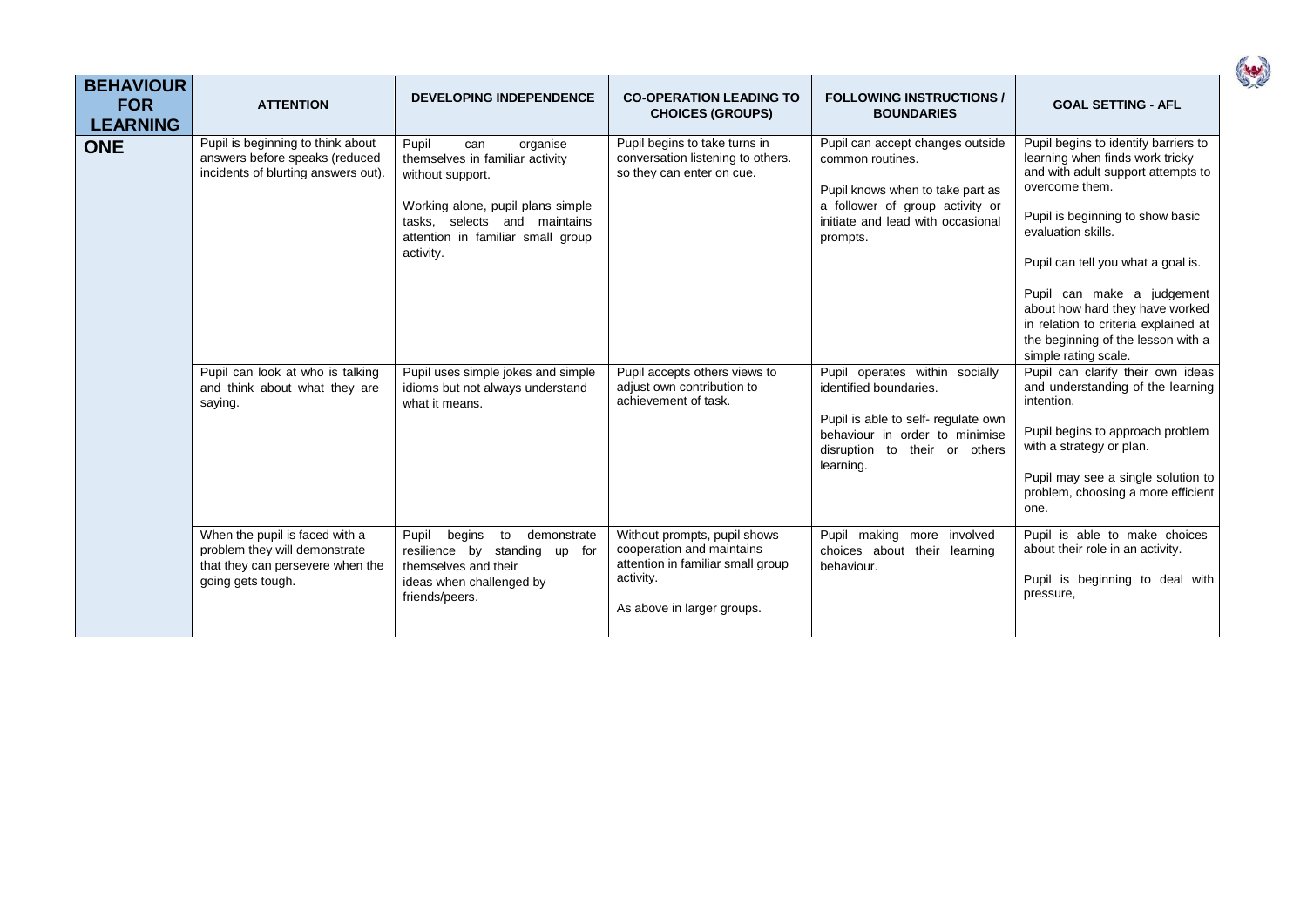| <b>BEHAVIOUR</b><br><b>FOR</b><br><b>LEARNING</b> | <b>ATTENTION</b>                                                                                                                                                                           | <b>DEVELOPING INDEPENDENCE</b>                                                                                                                                                                                                                                                                     | <b>CO-OPERATION LEADING TO</b><br><b>CHOICES (GROUPS)</b>                                                                                                                              | <b>FOLLOWING INSTRUCTIONS /</b><br><b>BOUNDARIES</b>                                                                                                                                                                                                                            | <b>GOAL SETTING - AFL</b>                                                                                                                                                                                                                                                                                                                                                                                                                                                                      |
|---------------------------------------------------|--------------------------------------------------------------------------------------------------------------------------------------------------------------------------------------------|----------------------------------------------------------------------------------------------------------------------------------------------------------------------------------------------------------------------------------------------------------------------------------------------------|----------------------------------------------------------------------------------------------------------------------------------------------------------------------------------------|---------------------------------------------------------------------------------------------------------------------------------------------------------------------------------------------------------------------------------------------------------------------------------|------------------------------------------------------------------------------------------------------------------------------------------------------------------------------------------------------------------------------------------------------------------------------------------------------------------------------------------------------------------------------------------------------------------------------------------------------------------------------------------------|
| <b>ONE</b>                                        | Pupil is beginning to think about<br>answers before speaks (reduced<br>incidents of blurting answers out).<br>Pupil can look at who is talking<br>and think about what they are<br>saying. | Pupil<br>organise<br>can<br>themselves in familiar activity<br>without support.<br>Working alone, pupil plans simple<br>tasks, selects and maintains<br>attention in familiar small group<br>activity.<br>Pupil uses simple jokes and simple<br>idioms but not always understand<br>what it means. | Pupil begins to take turns in<br>conversation listening to others.<br>so they can enter on cue.<br>Pupil accepts others views to<br>adjust own contribution to<br>achievement of task. | Pupil can accept changes outside<br>common routines.<br>Pupil knows when to take part as<br>a follower of group activity or<br>initiate and lead with occasional<br>prompts.<br>Pupil operates within socially<br>identified boundaries.<br>Pupil is able to self- regulate own | Pupil begins to identify barriers to<br>learning when finds work tricky<br>and with adult support attempts to<br>overcome them.<br>Pupil is beginning to show basic<br>evaluation skills.<br>Pupil can tell you what a goal is.<br>Pupil can make a judgement<br>about how hard they have worked<br>in relation to criteria explained at<br>the beginning of the lesson with a<br>simple rating scale.<br>Pupil can clarify their own ideas<br>and understanding of the learning<br>intention. |
|                                                   |                                                                                                                                                                                            |                                                                                                                                                                                                                                                                                                    |                                                                                                                                                                                        | behaviour in order to minimise<br>disruption to their or others<br>learning.                                                                                                                                                                                                    | Pupil begins to approach problem<br>with a strategy or plan.<br>Pupil may see a single solution to<br>problem, choosing a more efficient<br>one.                                                                                                                                                                                                                                                                                                                                               |
|                                                   | When the pupil is faced with a<br>problem they will demonstrate<br>that they can persevere when the<br>going gets tough.                                                                   | Pupil begins<br>demonstrate<br>to<br>resilience by standing up for<br>themselves and their<br>ideas when challenged by<br>friends/peers.                                                                                                                                                           | Without prompts, pupil shows<br>cooperation and maintains<br>attention in familiar small group<br>activity.<br>As above in larger groups.                                              | Pupil making more involved<br>choices about their learning<br>behaviour.                                                                                                                                                                                                        | Pupil is able to make choices<br>about their role in an activity.<br>Pupil is beginning to deal with<br>pressure,                                                                                                                                                                                                                                                                                                                                                                              |

(rev)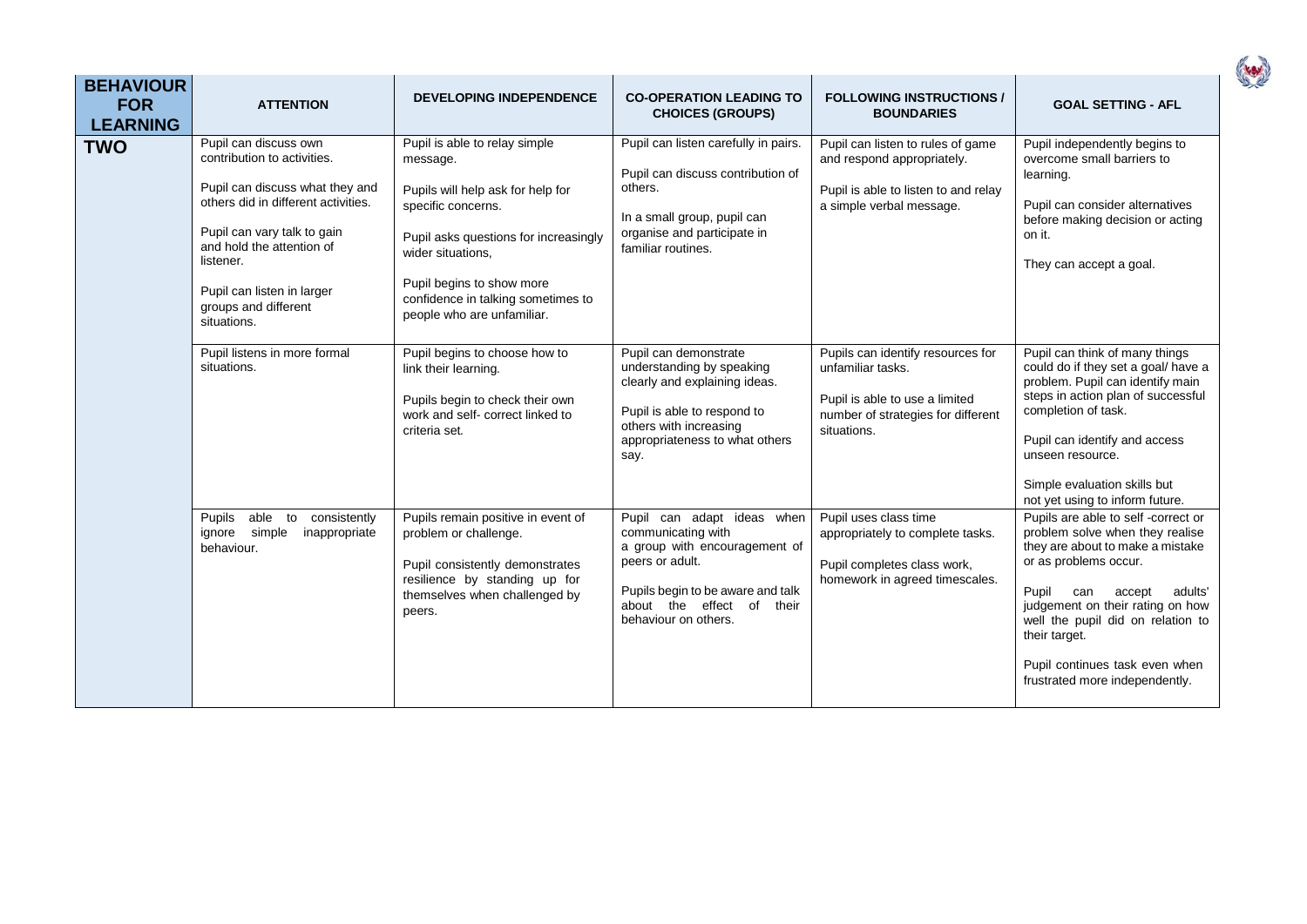| <b>BEHAVIOUR</b><br><b>FOR</b><br><b>LEARNING</b> | <b>ATTENTION</b>                                                                                                                                                                                                                                                             | <b>DEVELOPING INDEPENDENCE</b>                                                                                                                                                                                                                                      | <b>CO-OPERATION LEADING TO</b><br><b>CHOICES (GROUPS)</b>                                                                                                                                      | <b>FOLLOWING INSTRUCTIONS /</b><br><b>BOUNDARIES</b>                                                                                          | <b>GOAL SETTING - AFL</b>                                                                                                                                                                                                                                                                                                             |
|---------------------------------------------------|------------------------------------------------------------------------------------------------------------------------------------------------------------------------------------------------------------------------------------------------------------------------------|---------------------------------------------------------------------------------------------------------------------------------------------------------------------------------------------------------------------------------------------------------------------|------------------------------------------------------------------------------------------------------------------------------------------------------------------------------------------------|-----------------------------------------------------------------------------------------------------------------------------------------------|---------------------------------------------------------------------------------------------------------------------------------------------------------------------------------------------------------------------------------------------------------------------------------------------------------------------------------------|
| <b>TWO</b>                                        | Pupil can discuss own<br>contribution to activities.<br>Pupil can discuss what they and<br>others did in different activities.<br>Pupil can vary talk to gain<br>and hold the attention of<br>listener.<br>Pupil can listen in larger<br>groups and different<br>situations. | Pupil is able to relay simple<br>message.<br>Pupils will help ask for help for<br>specific concerns.<br>Pupil asks questions for increasingly<br>wider situations.<br>Pupil begins to show more<br>confidence in talking sometimes to<br>people who are unfamiliar. | Pupil can listen carefully in pairs.<br>Pupil can discuss contribution of<br>others.<br>In a small group, pupil can<br>organise and participate in<br>familiar routines.                       | Pupil can listen to rules of game<br>and respond appropriately.<br>Pupil is able to listen to and relay<br>a simple verbal message.           | Pupil independently begins to<br>overcome small barriers to<br>learning.<br>Pupil can consider alternatives<br>before making decision or acting<br>on it.<br>They can accept a goal.                                                                                                                                                  |
|                                                   | Pupil listens in more formal<br>situations.                                                                                                                                                                                                                                  | Pupil begins to choose how to<br>link their learning.<br>Pupils begin to check their own<br>work and self- correct linked to<br>criteria set.                                                                                                                       | Pupil can demonstrate<br>understanding by speaking<br>clearly and explaining ideas.<br>Pupil is able to respond to<br>others with increasing<br>appropriateness to what others<br>say.         | Pupils can identify resources for<br>unfamiliar tasks.<br>Pupil is able to use a limited<br>number of strategies for different<br>situations. | Pupil can think of many things<br>could do if they set a goal/ have a<br>problem. Pupil can identify main<br>steps in action plan of successful<br>completion of task.<br>Pupil can identify and access<br>unseen resource.<br>Simple evaluation skills but<br>not yet using to inform future.                                        |
|                                                   | Pupils<br>able to<br>consistently<br>ignore simple<br>inappropriate<br>behaviour.                                                                                                                                                                                            | Pupils remain positive in event of<br>problem or challenge.<br>Pupil consistently demonstrates<br>resilience by standing up for<br>themselves when challenged by<br>peers.                                                                                          | Pupil can adapt ideas when<br>communicating with<br>a group with encouragement of<br>peers or adult.<br>Pupils begin to be aware and talk<br>about the effect of their<br>behaviour on others. | Pupil uses class time<br>appropriately to complete tasks.<br>Pupil completes class work,<br>homework in agreed timescales.                    | Pupils are able to self-correct or<br>problem solve when they realise<br>they are about to make a mistake<br>or as problems occur.<br>Pupil<br>accept<br>adults'<br>can<br>judgement on their rating on how<br>well the pupil did on relation to<br>their target.<br>Pupil continues task even when<br>frustrated more independently. |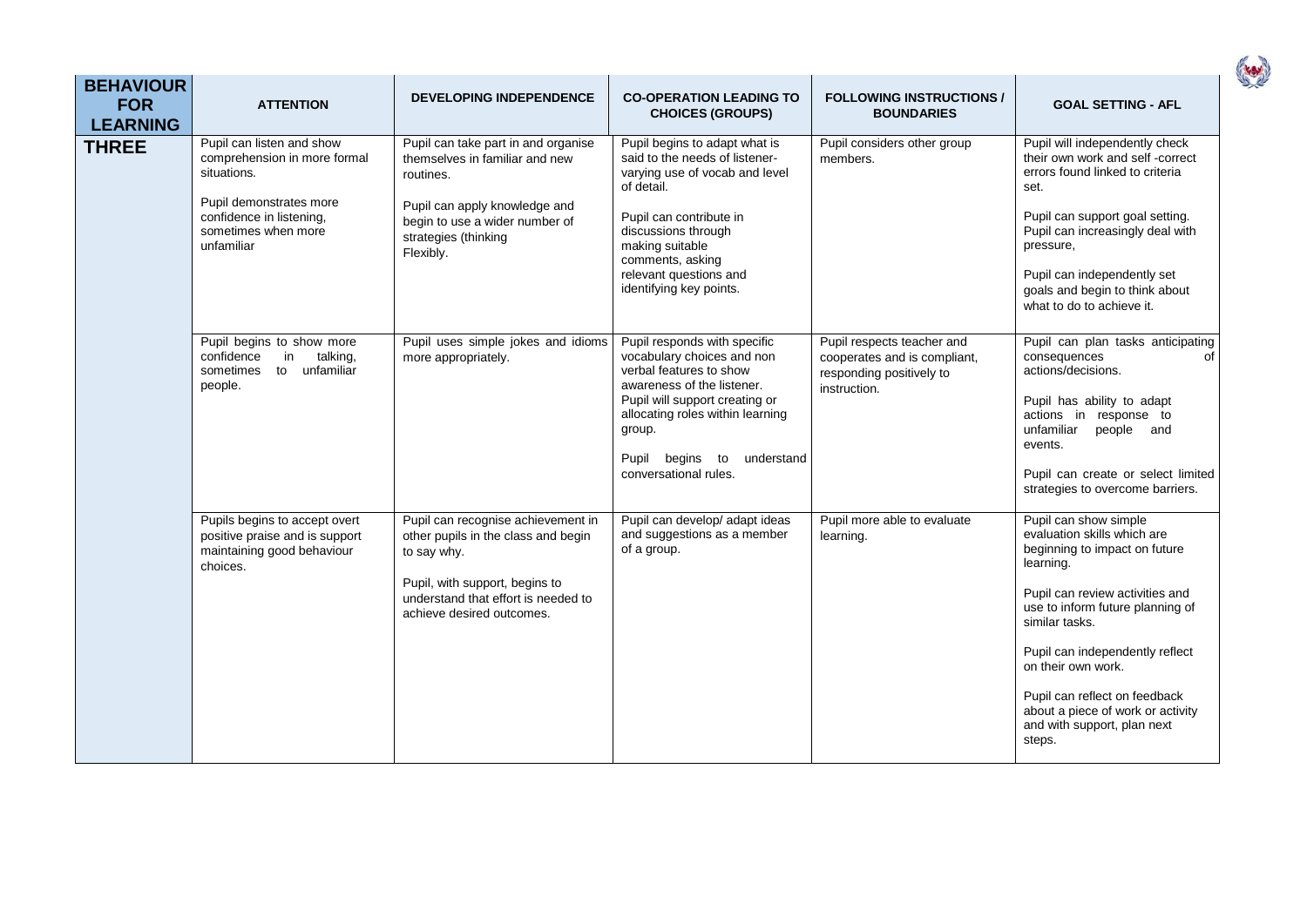| <b>BEHAVIOUR</b><br><b>FOR</b><br><b>LEARNING</b> | <b>ATTENTION</b>                                                                                                                                                     | <b>DEVELOPING INDEPENDENCE</b>                                                                                                                                                                 | <b>CO-OPERATION LEADING TO</b><br><b>CHOICES (GROUPS)</b>                                                                                                                                                                                                     | <b>FOLLOWING INSTRUCTIONS /</b><br><b>BOUNDARIES</b>                                                   | <b>GOAL SETTING - AFL</b>                                                                                                                                                                                                                                                                                                                                           |
|---------------------------------------------------|----------------------------------------------------------------------------------------------------------------------------------------------------------------------|------------------------------------------------------------------------------------------------------------------------------------------------------------------------------------------------|---------------------------------------------------------------------------------------------------------------------------------------------------------------------------------------------------------------------------------------------------------------|--------------------------------------------------------------------------------------------------------|---------------------------------------------------------------------------------------------------------------------------------------------------------------------------------------------------------------------------------------------------------------------------------------------------------------------------------------------------------------------|
| <b>THREE</b>                                      | Pupil can listen and show<br>comprehension in more formal<br>situations.<br>Pupil demonstrates more<br>confidence in listening,<br>sometimes when more<br>unfamiliar | Pupil can take part in and organise<br>themselves in familiar and new<br>routines.<br>Pupil can apply knowledge and<br>begin to use a wider number of<br>strategies (thinking<br>Flexibly.     | Pupil begins to adapt what is<br>said to the needs of listener-<br>varying use of vocab and level<br>of detail.<br>Pupil can contribute in<br>discussions through<br>making suitable<br>comments, asking<br>relevant questions and<br>identifying key points. | Pupil considers other group<br>members.                                                                | Pupil will independently check<br>their own work and self-correct<br>errors found linked to criteria<br>set.<br>Pupil can support goal setting.<br>Pupil can increasingly deal with<br>pressure,<br>Pupil can independently set<br>goals and begin to think about<br>what to do to achieve it.                                                                      |
|                                                   | Pupil begins to show more<br>confidence<br>in<br>talking,<br>sometimes<br>to unfamiliar<br>people.                                                                   | Pupil uses simple jokes and idioms<br>more appropriately.                                                                                                                                      | Pupil responds with specific<br>vocabulary choices and non<br>verbal features to show<br>awareness of the listener.<br>Pupil will support creating or<br>allocating roles within learning<br>group.<br>Pupil begins to<br>understand<br>conversational rules. | Pupil respects teacher and<br>cooperates and is compliant,<br>responding positively to<br>instruction. | Pupil can plan tasks anticipating<br>consequences<br>of<br>actions/decisions.<br>Pupil has ability to adapt<br>actions in response to<br>unfamiliar<br>people and<br>events.<br>Pupil can create or select limited<br>strategies to overcome barriers.                                                                                                              |
|                                                   | Pupils begins to accept overt<br>positive praise and is support<br>maintaining good behaviour<br>choices.                                                            | Pupil can recognise achievement in<br>other pupils in the class and begin<br>to say why.<br>Pupil, with support, begins to<br>understand that effort is needed to<br>achieve desired outcomes. | Pupil can develop/ adapt ideas<br>and suggestions as a member<br>of a group.                                                                                                                                                                                  | Pupil more able to evaluate<br>learning.                                                               | Pupil can show simple<br>evaluation skills which are<br>beginning to impact on future<br>learning.<br>Pupil can review activities and<br>use to inform future planning of<br>similar tasks.<br>Pupil can independently reflect<br>on their own work.<br>Pupil can reflect on feedback<br>about a piece of work or activity<br>and with support, plan next<br>steps. |

( rev)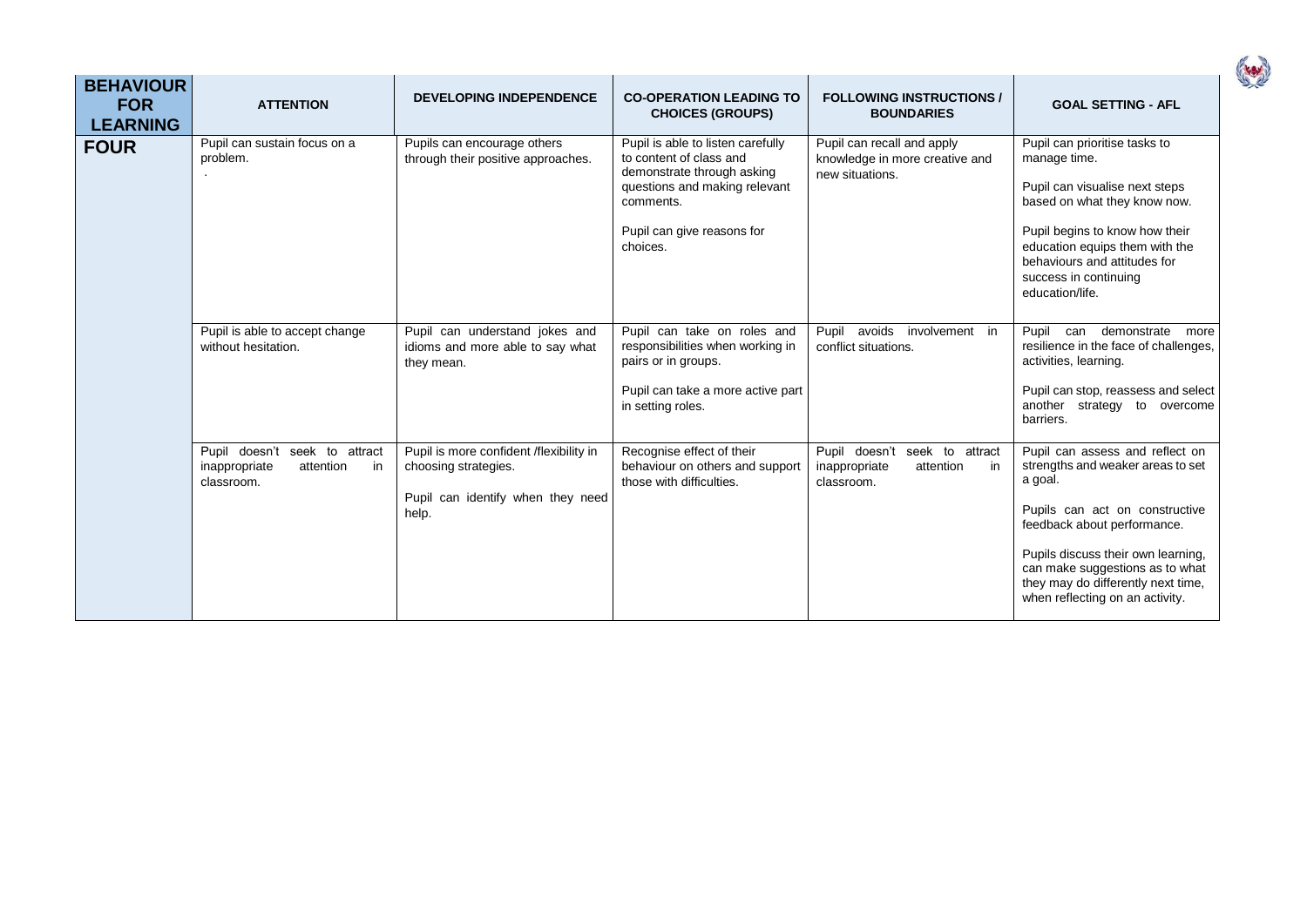| <b>BEHAVIOUR</b><br><b>FOR</b><br><b>LEARNING</b> | <b>ATTENTION</b>                                                                | <b>DEVELOPING INDEPENDENCE</b>                                                                                | <b>CO-OPERATION LEADING TO</b><br><b>CHOICES (GROUPS)</b>                                                                                                                          | <b>FOLLOWING INSTRUCTIONS /</b><br><b>BOUNDARIES</b>                            | <b>GOAL SETTING - AFL</b>                                                                                                                                                                                                                                                                          |
|---------------------------------------------------|---------------------------------------------------------------------------------|---------------------------------------------------------------------------------------------------------------|------------------------------------------------------------------------------------------------------------------------------------------------------------------------------------|---------------------------------------------------------------------------------|----------------------------------------------------------------------------------------------------------------------------------------------------------------------------------------------------------------------------------------------------------------------------------------------------|
| <b>FOUR</b>                                       | Pupil can sustain focus on a<br>problem.                                        | Pupils can encourage others<br>through their positive approaches.                                             | Pupil is able to listen carefully<br>to content of class and<br>demonstrate through asking<br>questions and making relevant<br>comments.<br>Pupil can give reasons for<br>choices. | Pupil can recall and apply<br>knowledge in more creative and<br>new situations. | Pupil can prioritise tasks to<br>manage time.<br>Pupil can visualise next steps<br>based on what they know now.<br>Pupil begins to know how their<br>education equips them with the<br>behaviours and attitudes for<br>success in continuing<br>education/life.                                    |
|                                                   | Pupil is able to accept change<br>without hesitation.                           | Pupil can understand jokes and<br>idioms and more able to say what<br>they mean.                              | Pupil can take on roles and<br>responsibilities when working in<br>pairs or in groups.<br>Pupil can take a more active part<br>in setting roles.                                   | avoids involvement in<br>Pupil<br>conflict situations.                          | Pupil<br>can demonstrate<br>more<br>resilience in the face of challenges,<br>activities, learning.<br>Pupil can stop, reassess and select<br>another strategy to overcome<br>barriers.                                                                                                             |
|                                                   | Pupil doesn't seek to attract<br>inappropriate<br>attention<br>in<br>classroom. | Pupil is more confident /flexibility in<br>choosing strategies.<br>Pupil can identify when they need<br>help. | Recognise effect of their<br>behaviour on others and support<br>those with difficulties.                                                                                           | Pupil doesn't seek to attract<br>inappropriate<br>in<br>attention<br>classroom. | Pupil can assess and reflect on<br>strengths and weaker areas to set<br>a goal.<br>Pupils can act on constructive<br>feedback about performance.<br>Pupils discuss their own learning,<br>can make suggestions as to what<br>they may do differently next time,<br>when reflecting on an activity. |

(rev)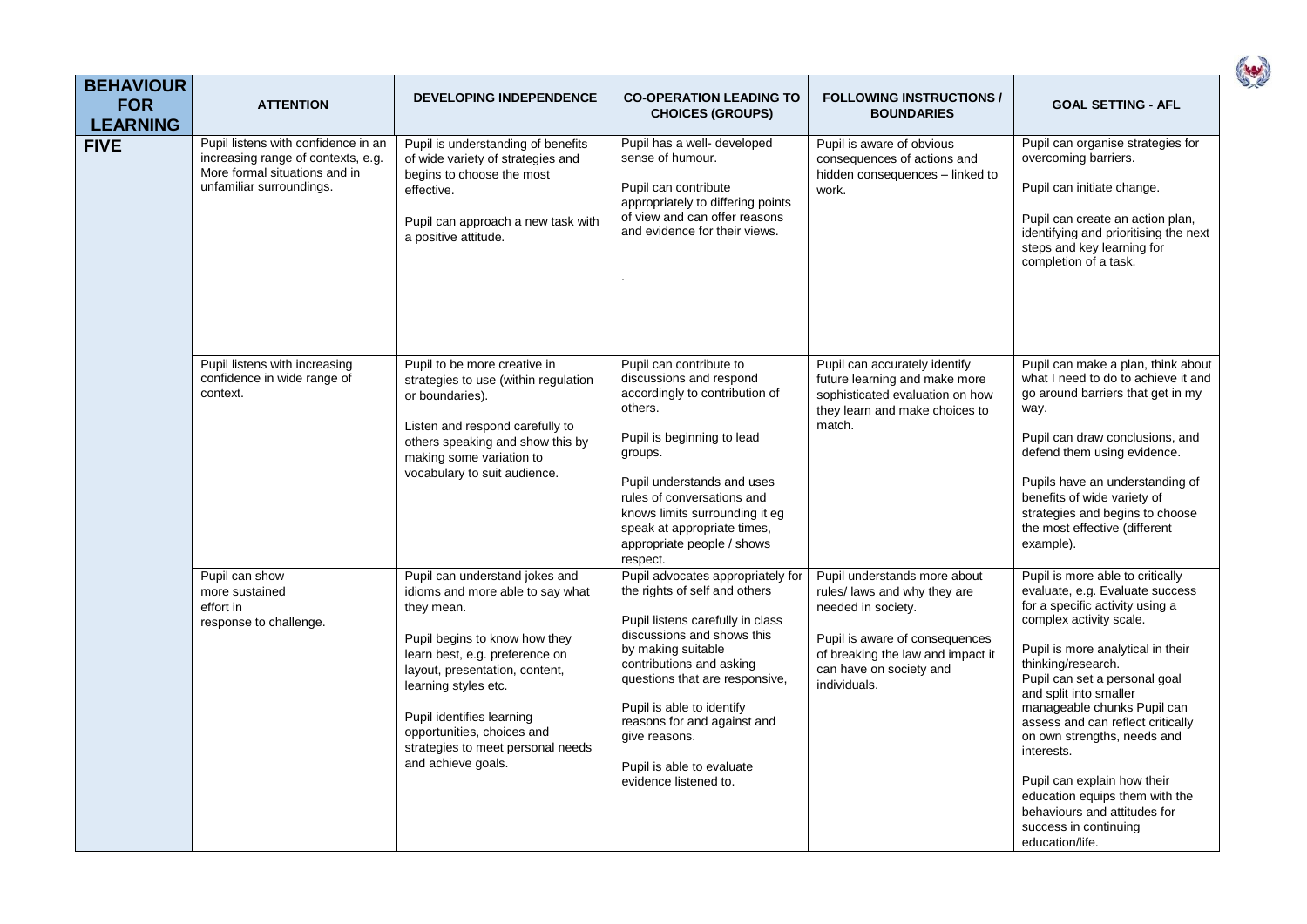| <b>BEHAVIOUR</b><br><b>FOR</b><br><b>LEARNING</b> | <b>ATTENTION</b>                                                                                                                       | <b>DEVELOPING INDEPENDENCE</b>                                                                                                                                                                                                                                                                                                      | <b>CO-OPERATION LEADING TO</b><br><b>CHOICES (GROUPS)</b>                                                                                                                                                                                                                                                                                                   | <b>FOLLOWING INSTRUCTIONS /</b><br><b>BOUNDARIES</b>                                                                                                                                                 | <b>GOAL SETTING - AFL</b>                                                                                                                                                                                                                                                                                                                                                                                                                                                                                             |
|---------------------------------------------------|----------------------------------------------------------------------------------------------------------------------------------------|-------------------------------------------------------------------------------------------------------------------------------------------------------------------------------------------------------------------------------------------------------------------------------------------------------------------------------------|-------------------------------------------------------------------------------------------------------------------------------------------------------------------------------------------------------------------------------------------------------------------------------------------------------------------------------------------------------------|------------------------------------------------------------------------------------------------------------------------------------------------------------------------------------------------------|-----------------------------------------------------------------------------------------------------------------------------------------------------------------------------------------------------------------------------------------------------------------------------------------------------------------------------------------------------------------------------------------------------------------------------------------------------------------------------------------------------------------------|
| <b>FIVE</b>                                       | Pupil listens with confidence in an<br>increasing range of contexts, e.g.<br>More formal situations and in<br>unfamiliar surroundings. | Pupil is understanding of benefits<br>of wide variety of strategies and<br>begins to choose the most<br>effective.<br>Pupil can approach a new task with<br>a positive attitude.                                                                                                                                                    | Pupil has a well- developed<br>sense of humour.<br>Pupil can contribute<br>appropriately to differing points<br>of view and can offer reasons<br>and evidence for their views.                                                                                                                                                                              | Pupil is aware of obvious<br>consequences of actions and<br>hidden consequences - linked to<br>work.                                                                                                 | Pupil can organise strategies for<br>overcoming barriers.<br>Pupil can initiate change.<br>Pupil can create an action plan,<br>identifying and prioritising the next<br>steps and key learning for<br>completion of a task.                                                                                                                                                                                                                                                                                           |
|                                                   | Pupil listens with increasing<br>confidence in wide range of<br>context.                                                               | Pupil to be more creative in<br>strategies to use (within regulation<br>or boundaries).<br>Listen and respond carefully to<br>others speaking and show this by<br>making some variation to<br>vocabulary to suit audience.                                                                                                          | Pupil can contribute to<br>discussions and respond<br>accordingly to contribution of<br>others.<br>Pupil is beginning to lead<br>groups.<br>Pupil understands and uses<br>rules of conversations and<br>knows limits surrounding it eg<br>speak at appropriate times,<br>appropriate people / shows<br>respect.                                             | Pupil can accurately identify<br>future learning and make more<br>sophisticated evaluation on how<br>they learn and make choices to<br>match.                                                        | Pupil can make a plan, think about<br>what I need to do to achieve it and<br>go around barriers that get in my<br>way.<br>Pupil can draw conclusions, and<br>defend them using evidence.<br>Pupils have an understanding of<br>benefits of wide variety of<br>strategies and begins to choose<br>the most effective (different<br>example).                                                                                                                                                                           |
|                                                   | Pupil can show<br>more sustained<br>effort in<br>response to challenge.                                                                | Pupil can understand jokes and<br>idioms and more able to say what<br>they mean.<br>Pupil begins to know how they<br>learn best, e.g. preference on<br>layout, presentation, content,<br>learning styles etc.<br>Pupil identifies learning<br>opportunities, choices and<br>strategies to meet personal needs<br>and achieve goals. | Pupil advocates appropriately for<br>the rights of self and others<br>Pupil listens carefully in class<br>discussions and shows this<br>by making suitable<br>contributions and asking<br>questions that are responsive,<br>Pupil is able to identify<br>reasons for and against and<br>give reasons.<br>Pupil is able to evaluate<br>evidence listened to. | Pupil understands more about<br>rules/ laws and why they are<br>needed in society.<br>Pupil is aware of consequences<br>of breaking the law and impact it<br>can have on society and<br>individuals. | Pupil is more able to critically<br>evaluate, e.g. Evaluate success<br>for a specific activity using a<br>complex activity scale.<br>Pupil is more analytical in their<br>thinking/research.<br>Pupil can set a personal goal<br>and split into smaller<br>manageable chunks Pupil can<br>assess and can reflect critically<br>on own strengths, needs and<br>interests.<br>Pupil can explain how their<br>education equips them with the<br>behaviours and attitudes for<br>success in continuing<br>education/life. |